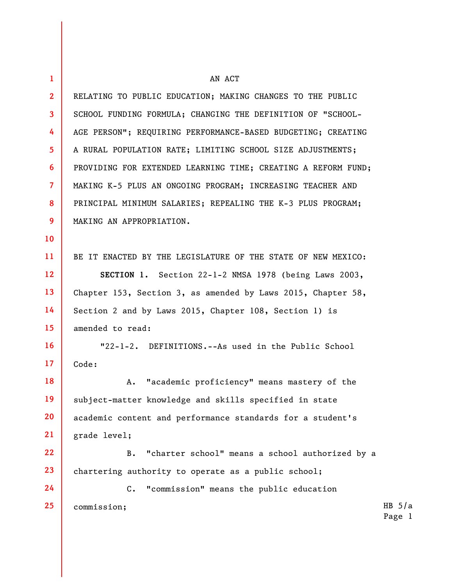| $\mathbf{1}$    | AN ACT                                                        |                    |
|-----------------|---------------------------------------------------------------|--------------------|
| 2 <sup>2</sup>  | RELATING TO PUBLIC EDUCATION; MAKING CHANGES TO THE PUBLIC    |                    |
| $\mathbf{3}$    | SCHOOL FUNDING FORMULA; CHANGING THE DEFINITION OF "SCHOOL-   |                    |
| 4               | AGE PERSON"; REQUIRING PERFORMANCE-BASED BUDGETING; CREATING  |                    |
| 5 <sup>1</sup>  | A RURAL POPULATION RATE; LIMITING SCHOOL SIZE ADJUSTMENTS;    |                    |
| 6               | PROVIDING FOR EXTENDED LEARNING TIME; CREATING A REFORM FUND; |                    |
| $\overline{7}$  | MAKING K-5 PLUS AN ONGOING PROGRAM; INCREASING TEACHER AND    |                    |
| 8               | PRINCIPAL MINIMUM SALARIES; REPEALING THE K-3 PLUS PROGRAM;   |                    |
| 9               | MAKING AN APPROPRIATION.                                      |                    |
| 10              |                                                               |                    |
| 11              | BE IT ENACTED BY THE LEGISLATURE OF THE STATE OF NEW MEXICO:  |                    |
| 12              | SECTION 1. Section 22-1-2 NMSA 1978 (being Laws 2003,         |                    |
| 13              | Chapter 153, Section 3, as amended by Laws 2015, Chapter 58,  |                    |
| 14              | Section 2 and by Laws 2015, Chapter 108, Section 1) is        |                    |
| 15              | amended to read:                                              |                    |
| 16 <sup>2</sup> | "22-1-2. DEFINITIONS.--As used in the Public School           |                    |
| 17              | Code:                                                         |                    |
| 18              | "academic proficiency" means mastery of the<br>Α.             |                    |
| 19              | subject-matter knowledge and skills specified in state        |                    |
| 20              | academic content and performance standards for a student's    |                    |
| 21              | grade level;                                                  |                    |
| 22              | "charter school" means a school authorized by a<br><b>B.</b>  |                    |
| 23              | chartering authority to operate as a public school;           |                    |
| 24              | $C_{\bullet}$<br>"commission" means the public education      |                    |
| 25              | commission;                                                   | HB $5/a$<br>Page 1 |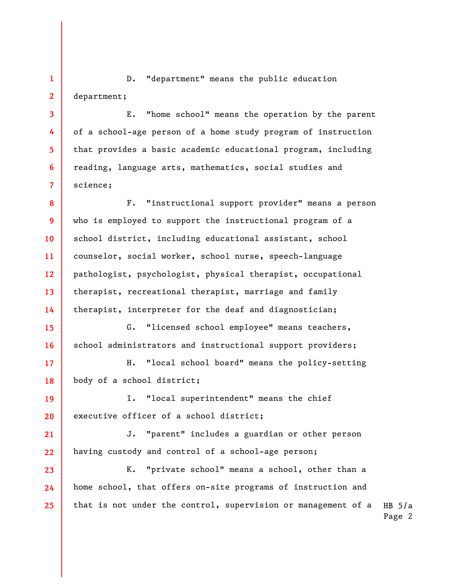**1 2**  D. "department" means the public education department;

**3** 

**4** 

**5** 

**6** 

**7** 

**15** 

**16** 

E. "home school" means the operation by the parent of a school-age person of a home study program of instruction that provides a basic academic educational program, including reading, language arts, mathematics, social studies and science;

**8 9 10 11 12 13 14**  F. "instructional support provider" means a person who is employed to support the instructional program of a school district, including educational assistant, school counselor, social worker, school nurse, speech-language pathologist, psychologist, physical therapist, occupational therapist, recreational therapist, marriage and family therapist, interpreter for the deaf and diagnostician;

G. "licensed school employee" means teachers, school administrators and instructional support providers;

**17 18**  H. "local school board" means the policy-setting body of a school district;

**19 20**  I. "local superintendent" means the chief executive officer of a school district;

**21 22**  J. "parent" includes a guardian or other person having custody and control of a school-age person;

HB  $5/a$ Page 2 **23 24 25**  K. "private school" means a school, other than a home school, that offers on-site programs of instruction and that is not under the control, supervision or management of a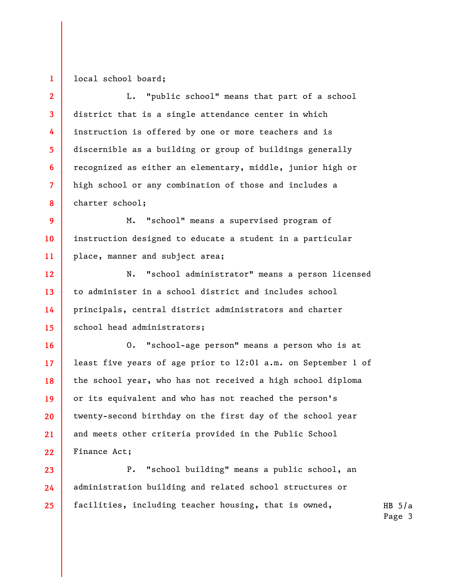## local school board;

**1** 

**16** 

**17** 

**18** 

**19** 

**20** 

**21** 

**22** 

**2 3 4 5 6 7 8**  L. "public school" means that part of a school district that is a single attendance center in which instruction is offered by one or more teachers and is discernible as a building or group of buildings generally recognized as either an elementary, middle, junior high or high school or any combination of those and includes a charter school;

**9 10 11**  M. "school" means a supervised program of instruction designed to educate a student in a particular place, manner and subject area;

**12 13 14 15**  N. "school administrator" means a person licensed to administer in a school district and includes school principals, central district administrators and charter school head administrators;

O. "school-age person" means a person who is at least five years of age prior to 12:01 a.m. on September 1 of the school year, who has not received a high school diploma or its equivalent and who has not reached the person's twenty-second birthday on the first day of the school year and meets other criteria provided in the Public School Finance Act;

**23 24 25**  P. "school building" means a public school, an administration building and related school structures or facilities, including teacher housing, that is owned,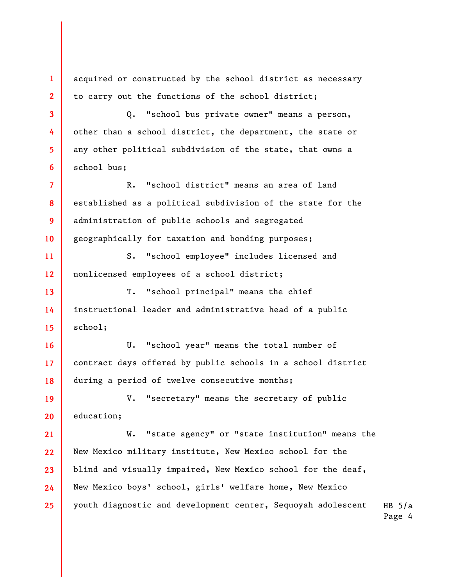acquired or constructed by the school district as necessary to carry out the functions of the school district;

**1** 

**2** 

**3** 

**4** 

**5** 

**6** 

Q. "school bus private owner" means a person, other than a school district, the department, the state or any other political subdivision of the state, that owns a school bus;

**7 8 9 10**  R. "school district" means an area of land established as a political subdivision of the state for the administration of public schools and segregated geographically for taxation and bonding purposes;

**11 12**  S. "school employee" includes licensed and nonlicensed employees of a school district;

**13 14 15**  T. "school principal" means the chief instructional leader and administrative head of a public school;

**16 17 18**  U. "school year" means the total number of contract days offered by public schools in a school district during a period of twelve consecutive months;

**19 20**  V. "secretary" means the secretary of public education;

HB  $5/a$ **21 22 23 24 25**  W. "state agency" or "state institution" means the New Mexico military institute, New Mexico school for the blind and visually impaired, New Mexico school for the deaf, New Mexico boys' school, girls' welfare home, New Mexico youth diagnostic and development center, Sequoyah adolescent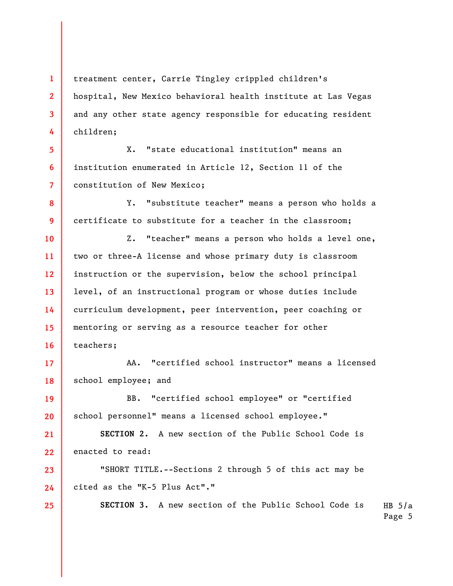**1 2 3 4**  treatment center, Carrie Tingley crippled children's hospital, New Mexico behavioral health institute at Las Vegas and any other state agency responsible for educating resident children;

X. "state educational institution" means an institution enumerated in Article 12, Section 11 of the constitution of New Mexico;

**5** 

**6** 

**7** 

**19** 

**20** 

**23** 

**24** 

**25** 

**8 9**  Y. "substitute teacher" means a person who holds a certificate to substitute for a teacher in the classroom;

**10 11 12 13 14 15 16**  Z. "teacher" means a person who holds a level one, two or three-A license and whose primary duty is classroom instruction or the supervision, below the school principal level, of an instructional program or whose duties include curriculum development, peer intervention, peer coaching or mentoring or serving as a resource teacher for other teachers;

**17 18**  AA. "certified school instructor" means a licensed school employee; and

BB. "certified school employee" or "certified school personnel" means a licensed school employee."

**21 22 SECTION 2.** A new section of the Public School Code is enacted to read:

"SHORT TITLE.--Sections 2 through 5 of this act may be cited as the "K-5 Plus Act"."

> HB  $5/a$ **SECTION 3.** A new section of the Public School Code is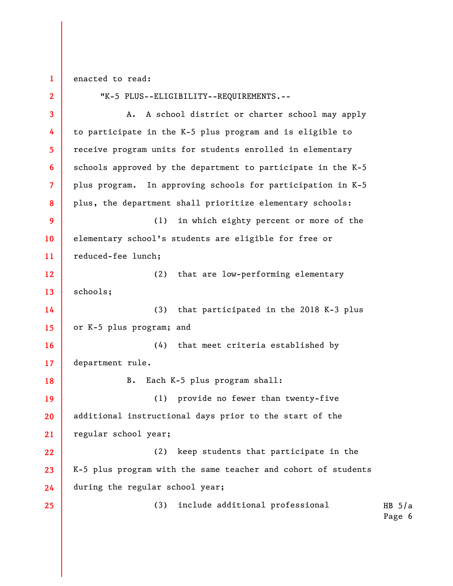**1** 

enacted to read:

**2 3 4 5 6 7 8 9 10 11 12 13 14 15 16 17 18 19 20 21 22 23 24 25**  "K-5 PLUS--ELIGIBILITY--REQUIREMENTS.-- A. A school district or charter school may apply to participate in the K-5 plus program and is eligible to receive program units for students enrolled in elementary schools approved by the department to participate in the K-5 plus program. In approving schools for participation in K-5 plus, the department shall prioritize elementary schools: (1) in which eighty percent or more of the elementary school's students are eligible for free or reduced-fee lunch; (2) that are low-performing elementary schools; (3) that participated in the 2018 K-3 plus or K-5 plus program; and (4) that meet criteria established by department rule. B. Each K-5 plus program shall: (1) provide no fewer than twenty-five additional instructional days prior to the start of the regular school year; (2) keep students that participate in the K-5 plus program with the same teacher and cohort of students during the regular school year; (3) include additional professional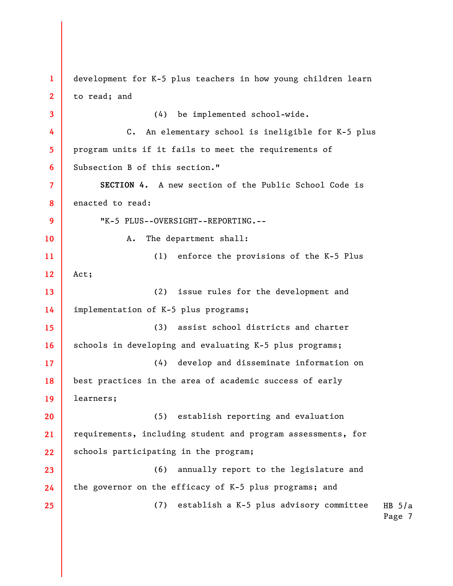HB  $5/a$ Page 7 **1 2 3 4 5 6 7 8 9 10 11 12 13 14 15 16 17 18 19 20 21 22 23 24 25**  development for K-5 plus teachers in how young children learn to read; and (4) be implemented school-wide. C. An elementary school is ineligible for K-5 plus program units if it fails to meet the requirements of Subsection B of this section." **SECTION 4.** A new section of the Public School Code is enacted to read: "K-5 PLUS--OVERSIGHT--REPORTING.-- A. The department shall: (1) enforce the provisions of the K-5 Plus Act; (2) issue rules for the development and implementation of K-5 plus programs; (3) assist school districts and charter schools in developing and evaluating K-5 plus programs; (4) develop and disseminate information on best practices in the area of academic success of early learners; (5) establish reporting and evaluation requirements, including student and program assessments, for schools participating in the program; (6) annually report to the legislature and the governor on the efficacy of K-5 plus programs; and (7) establish a K-5 plus advisory committee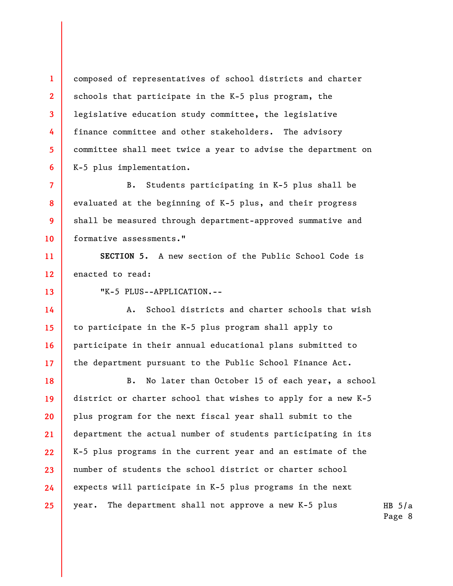composed of representatives of school districts and charter schools that participate in the K-5 plus program, the legislative education study committee, the legislative finance committee and other stakeholders. The advisory committee shall meet twice a year to advise the department on K-5 plus implementation.

**7 8 9 10**  B. Students participating in K-5 plus shall be evaluated at the beginning of K-5 plus, and their progress shall be measured through department-approved summative and formative assessments."

**11 12 SECTION 5.** A new section of the Public School Code is enacted to read:

**13** 

**16** 

**1** 

**2** 

**3** 

**4** 

**5** 

**6** 

"K-5 PLUS--APPLICATION.--

**14 15 17**  A. School districts and charter schools that wish to participate in the K-5 plus program shall apply to participate in their annual educational plans submitted to the department pursuant to the Public School Finance Act.

**18 19 20 21 22 23 24 25**  B. No later than October 15 of each year, a school district or charter school that wishes to apply for a new K-5 plus program for the next fiscal year shall submit to the department the actual number of students participating in its K-5 plus programs in the current year and an estimate of the number of students the school district or charter school expects will participate in K-5 plus programs in the next year. The department shall not approve a new K-5 plus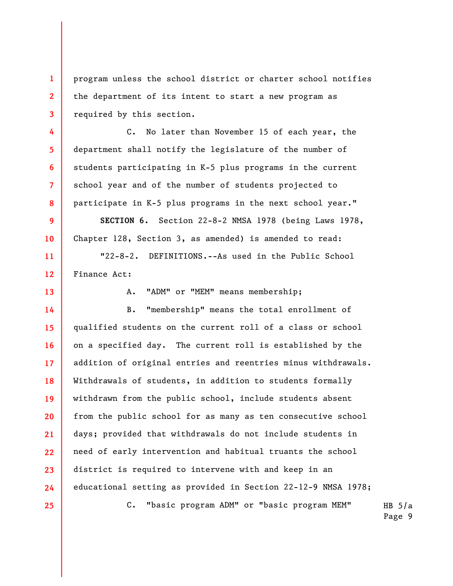program unless the school district or charter school notifies the department of its intent to start a new program as required by this section.

C. No later than November 15 of each year, the department shall notify the legislature of the number of students participating in K-5 plus programs in the current school year and of the number of students projected to participate in K-5 plus programs in the next school year."

**SECTION 6.** Section 22-8-2 NMSA 1978 (being Laws 1978, Chapter 128, Section 3, as amended) is amended to read:

"22-8-2. DEFINITIONS.--As used in the Public School Finance Act:

**13** 

**1** 

**2** 

**3** 

**4** 

**5** 

**6** 

**7** 

**8** 

**9** 

**10** 

**11** 

**12** 

A. "ADM" or "MEM" means membership;

**14 15 16 17 18 19 20 21 22 23 24**  B. "membership" means the total enrollment of qualified students on the current roll of a class or school on a specified day. The current roll is established by the addition of original entries and reentries minus withdrawals. Withdrawals of students, in addition to students formally withdrawn from the public school, include students absent from the public school for as many as ten consecutive school days; provided that withdrawals do not include students in need of early intervention and habitual truants the school district is required to intervene with and keep in an educational setting as provided in Section 22-12-9 NMSA 1978;

**25** 

HB  $5/a$ C. "basic program ADM" or "basic program MEM"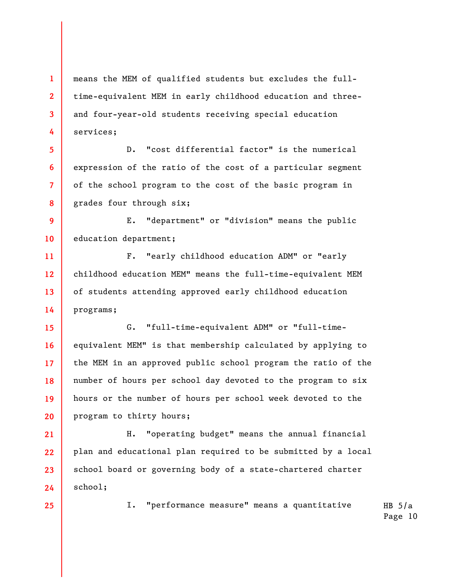means the MEM of qualified students but excludes the fulltime-equivalent MEM in early childhood education and threeand four-year-old students receiving special education services;

D. "cost differential factor" is the numerical expression of the ratio of the cost of a particular segment of the school program to the cost of the basic program in grades four through six;

**9 10**  E. "department" or "division" means the public education department;

**11 12 13 14**  F. "early childhood education ADM" or "early childhood education MEM" means the full-time-equivalent MEM of students attending approved early childhood education programs;

**15 16 17 18 19 20**  G. "full-time-equivalent ADM" or "full-timeequivalent MEM" is that membership calculated by applying to the MEM in an approved public school program the ratio of the number of hours per school day devoted to the program to six hours or the number of hours per school week devoted to the program to thirty hours;

**21 22 23 24**  H. "operating budget" means the annual financial plan and educational plan required to be submitted by a local school board or governing body of a state-chartered charter school;

**25** 

**1** 

**2** 

**3** 

**4** 

**5** 

**6** 

**7** 

**8** 

HB  $5/a$ I. "performance measure" means a quantitative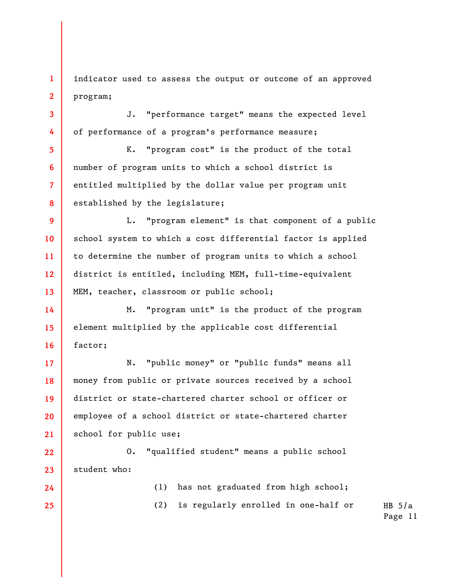**1 2**  indicator used to assess the output or outcome of an approved program;

J. "performance target" means the expected level of performance of a program's performance measure;

K. "program cost" is the product of the total number of program units to which a school district is entitled multiplied by the dollar value per program unit established by the legislature;

**9 10 11 12 13**  L. "program element" is that component of a public school system to which a cost differential factor is applied to determine the number of program units to which a school district is entitled, including MEM, full-time-equivalent MEM, teacher, classroom or public school;

M. "program unit" is the product of the program element multiplied by the applicable cost differential factor;

**17 18 19 20 21**  N. "public money" or "public funds" means all money from public or private sources received by a school district or state-chartered charter school or officer or employee of a school district or state-chartered charter school for public use;

**22 23**  O. "qualified student" means a public school student who:

**24 25** 

**3** 

**4** 

**5** 

**6** 

**7** 

**8** 

**14** 

**15** 

**16** 

(1) has not graduated from high school;

(2) is regularly enrolled in one-half or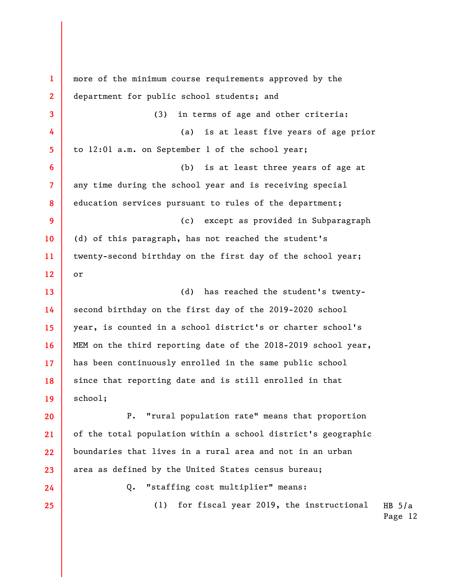HB  $5/a$ **1 2 3 4 5 6 7 8 9 10 11 12 13 14 15 16 17 18 19 20 21 22 23 24 25**  more of the minimum course requirements approved by the department for public school students; and (3) in terms of age and other criteria: (a) is at least five years of age prior to 12:01 a.m. on September 1 of the school year; (b) is at least three years of age at any time during the school year and is receiving special education services pursuant to rules of the department; (c) except as provided in Subparagraph (d) of this paragraph, has not reached the student's twenty-second birthday on the first day of the school year; or (d) has reached the student's twentysecond birthday on the first day of the 2019-2020 school year, is counted in a school district's or charter school's MEM on the third reporting date of the 2018-2019 school year, has been continuously enrolled in the same public school since that reporting date and is still enrolled in that school; P. "rural population rate" means that proportion of the total population within a school district's geographic boundaries that lives in a rural area and not in an urban area as defined by the United States census bureau; Q. "staffing cost multiplier" means: (1) for fiscal year 2019, the instructional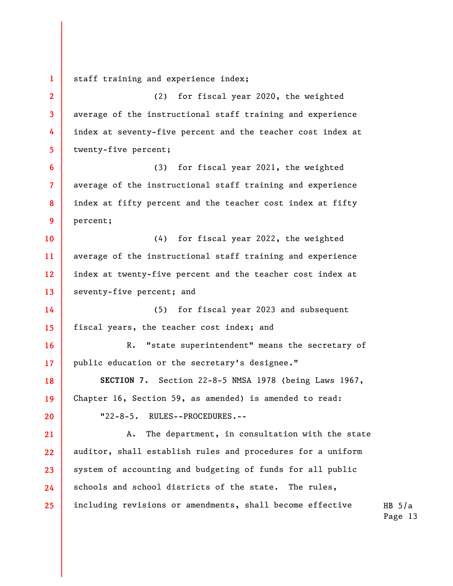**1**  staff training and experience index;

**2** 

**3** 

**4** 

**5** 

**6** 

**7** 

**8** 

**9** 

**16** 

**17** 

**20** 

(2) for fiscal year 2020, the weighted average of the instructional staff training and experience index at seventy-five percent and the teacher cost index at twenty-five percent;

(3) for fiscal year 2021, the weighted average of the instructional staff training and experience index at fifty percent and the teacher cost index at fifty percent;

**10 11 12 13**  (4) for fiscal year 2022, the weighted average of the instructional staff training and experience index at twenty-five percent and the teacher cost index at seventy-five percent; and

**14 15**  (5) for fiscal year 2023 and subsequent fiscal years, the teacher cost index; and

R. "state superintendent" means the secretary of public education or the secretary's designee."

**18 19 SECTION 7.** Section 22-8-5 NMSA 1978 (being Laws 1967, Chapter 16, Section 59, as amended) is amended to read:

"22-8-5. RULES--PROCEDURES.--

**21 22 23 24 25**  A. The department, in consultation with the state auditor, shall establish rules and procedures for a uniform system of accounting and budgeting of funds for all public schools and school districts of the state. The rules, including revisions or amendments, shall become effective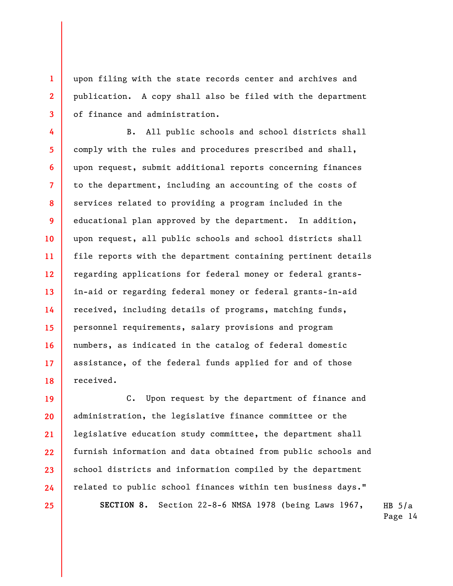upon filing with the state records center and archives and publication. A copy shall also be filed with the department of finance and administration.

**1** 

**2** 

**3** 

**4 5 6 7 8 9 10 11 12 13 14 15 16 17 18**  B. All public schools and school districts shall comply with the rules and procedures prescribed and shall, upon request, submit additional reports concerning finances to the department, including an accounting of the costs of services related to providing a program included in the educational plan approved by the department. In addition, upon request, all public schools and school districts shall file reports with the department containing pertinent details regarding applications for federal money or federal grantsin-aid or regarding federal money or federal grants-in-aid received, including details of programs, matching funds, personnel requirements, salary provisions and program numbers, as indicated in the catalog of federal domestic assistance, of the federal funds applied for and of those received.

**19 20 21 22 23 24 25**  C. Upon request by the department of finance and administration, the legislative finance committee or the legislative education study committee, the department shall furnish information and data obtained from public schools and school districts and information compiled by the department related to public school finances within ten business days." **SECTION 8.** Section 22-8-6 NMSA 1978 (being Laws 1967,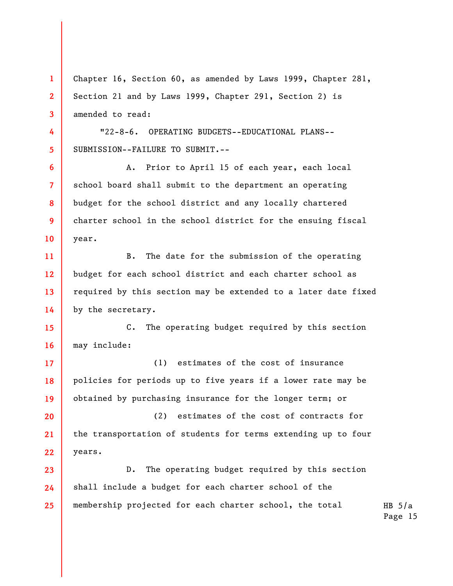**3 4 5 6 7 8 9 10 11 12 13 14 15 16 17 18 19 20 21 22 23 24 25**  amended to read: "22-8-6. OPERATING BUDGETS--EDUCATIONAL PLANS-- SUBMISSION--FAILURE TO SUBMIT.-- A. Prior to April 15 of each year, each local school board shall submit to the department an operating budget for the school district and any locally chartered charter school in the school district for the ensuing fiscal year. B. The date for the submission of the operating budget for each school district and each charter school as required by this section may be extended to a later date fixed by the secretary. C. The operating budget required by this section may include: (1) estimates of the cost of insurance policies for periods up to five years if a lower rate may be obtained by purchasing insurance for the longer term; or (2) estimates of the cost of contracts for the transportation of students for terms extending up to four years. D. The operating budget required by this section shall include a budget for each charter school of the membership projected for each charter school, the total

Chapter 16, Section 60, as amended by Laws 1999, Chapter 281,

Section 21 and by Laws 1999, Chapter 291, Section 2) is

**1** 

**2**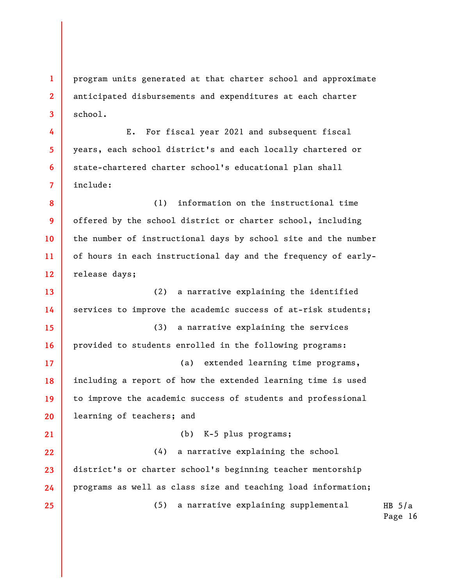**1 2 3**  program units generated at that charter school and approximate anticipated disbursements and expenditures at each charter school.

E. For fiscal year 2021 and subsequent fiscal years, each school district's and each locally chartered or state-chartered charter school's educational plan shall include:

**4** 

**5** 

**6** 

**7** 

**21** 

**25** 

**8 9 10 11 12**  (1) information on the instructional time offered by the school district or charter school, including the number of instructional days by school site and the number of hours in each instructional day and the frequency of earlyrelease days;

**13 14 15 16 17 18 19 20**  (2) a narrative explaining the identified services to improve the academic success of at-risk students; (3) a narrative explaining the services provided to students enrolled in the following programs: (a) extended learning time programs, including a report of how the extended learning time is used to improve the academic success of students and professional learning of teachers; and

(b) K-5 plus programs;

**22 23 24**  (4) a narrative explaining the school district's or charter school's beginning teacher mentorship programs as well as class size and teaching load information;

(5) a narrative explaining supplemental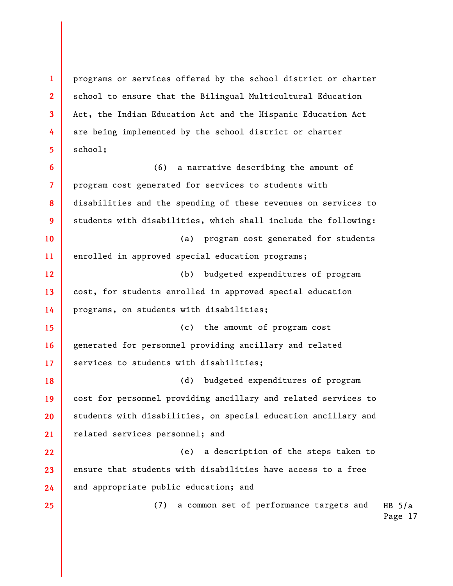programs or services offered by the school district or charter school to ensure that the Bilingual Multicultural Education Act, the Indian Education Act and the Hispanic Education Act are being implemented by the school district or charter school;

**1** 

**2** 

**3** 

**4** 

**5** 

**6 7 8 9 10 11 12 13 14 15 16 17 18 19 20 21 22 23 24 25**  (6) a narrative describing the amount of program cost generated for services to students with disabilities and the spending of these revenues on services to students with disabilities, which shall include the following: (a) program cost generated for students enrolled in approved special education programs; (b) budgeted expenditures of program cost, for students enrolled in approved special education programs, on students with disabilities; (c) the amount of program cost generated for personnel providing ancillary and related services to students with disabilities; (d) budgeted expenditures of program cost for personnel providing ancillary and related services to students with disabilities, on special education ancillary and related services personnel; and (e) a description of the steps taken to ensure that students with disabilities have access to a free and appropriate public education; and (7) a common set of performance targets and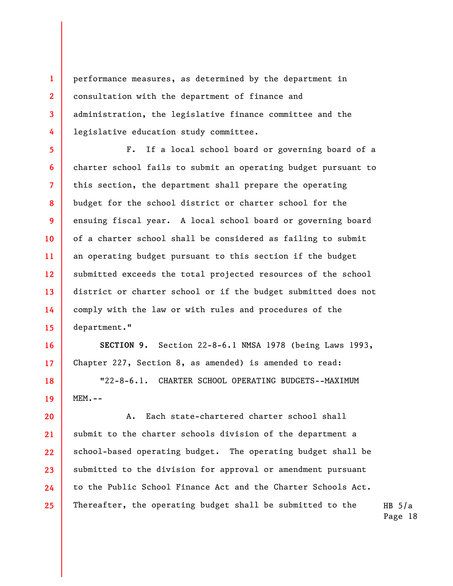performance measures, as determined by the department in consultation with the department of finance and administration, the legislative finance committee and the legislative education study committee.

**1** 

**2** 

**3** 

**4** 

**16** 

**17** 

**18** 

**19** 

**5 6 7 8 9 10 11 12 13 14 15**  F. If a local school board or governing board of a charter school fails to submit an operating budget pursuant to this section, the department shall prepare the operating budget for the school district or charter school for the ensuing fiscal year. A local school board or governing board of a charter school shall be considered as failing to submit an operating budget pursuant to this section if the budget submitted exceeds the total projected resources of the school district or charter school or if the budget submitted does not comply with the law or with rules and procedures of the department."

**SECTION 9.** Section 22-8-6.1 NMSA 1978 (being Laws 1993, Chapter 227, Section 8, as amended) is amended to read:

"22-8-6.1. CHARTER SCHOOL OPERATING BUDGETS--MAXIMUM MEM.--

**20 21 22 23 24 25**  A. Each state-chartered charter school shall submit to the charter schools division of the department a school-based operating budget. The operating budget shall be submitted to the division for approval or amendment pursuant to the Public School Finance Act and the Charter Schools Act. Thereafter, the operating budget shall be submitted to the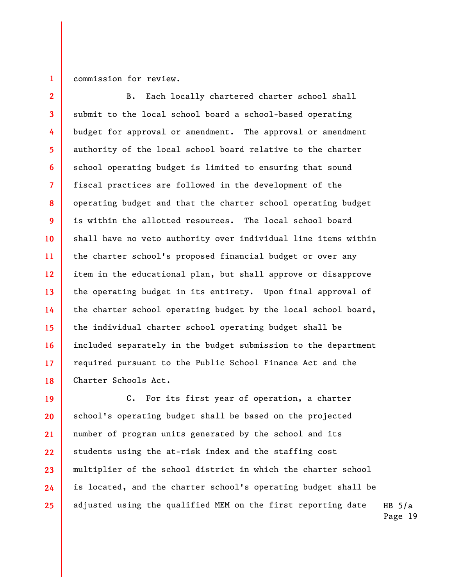## **1**  commission for review.

**2 3 4 5 6 7 8 9 10 11 12 13 14 15 16 17 18**  B. Each locally chartered charter school shall submit to the local school board a school-based operating budget for approval or amendment. The approval or amendment authority of the local school board relative to the charter school operating budget is limited to ensuring that sound fiscal practices are followed in the development of the operating budget and that the charter school operating budget is within the allotted resources. The local school board shall have no veto authority over individual line items within the charter school's proposed financial budget or over any item in the educational plan, but shall approve or disapprove the operating budget in its entirety. Upon final approval of the charter school operating budget by the local school board, the individual charter school operating budget shall be included separately in the budget submission to the department required pursuant to the Public School Finance Act and the Charter Schools Act.

HB  $5/a$ **19 20 21 22 23 24 25**  C. For its first year of operation, a charter school's operating budget shall be based on the projected number of program units generated by the school and its students using the at-risk index and the staffing cost multiplier of the school district in which the charter school is located, and the charter school's operating budget shall be adjusted using the qualified MEM on the first reporting date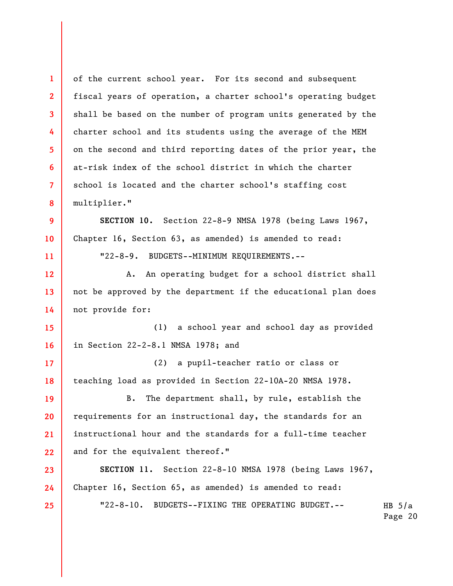HB  $5/a$ Page 20 **1 2 3 4 5 6 7 8 9 10 11 12 13 14 15 16 17 18 19 20 21 22 23 24 25**  of the current school year. For its second and subsequent fiscal years of operation, a charter school's operating budget shall be based on the number of program units generated by the charter school and its students using the average of the MEM on the second and third reporting dates of the prior year, the at-risk index of the school district in which the charter school is located and the charter school's staffing cost multiplier." **SECTION 10.** Section 22-8-9 NMSA 1978 (being Laws 1967, Chapter 16, Section 63, as amended) is amended to read: "22-8-9. BUDGETS--MINIMUM REQUIREMENTS.-- A. An operating budget for a school district shall not be approved by the department if the educational plan does not provide for: (1) a school year and school day as provided in Section 22-2-8.1 NMSA 1978; and (2) a pupil-teacher ratio or class or teaching load as provided in Section 22-10A-20 NMSA 1978. B. The department shall, by rule, establish the requirements for an instructional day, the standards for an instructional hour and the standards for a full-time teacher and for the equivalent thereof." **SECTION 11.** Section 22-8-10 NMSA 1978 (being Laws 1967, Chapter 16, Section 65, as amended) is amended to read: "22-8-10. BUDGETS--FIXING THE OPERATING BUDGET.--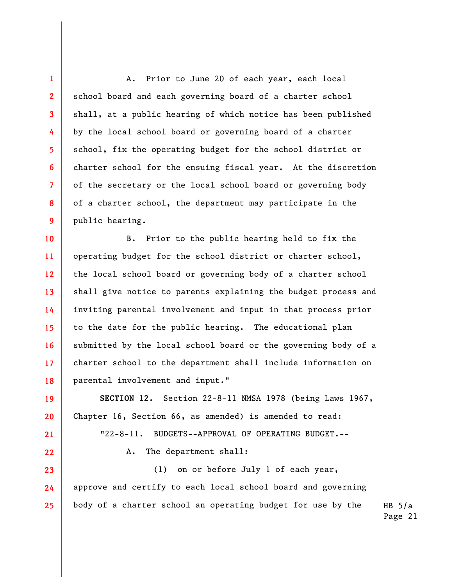A. Prior to June 20 of each year, each local school board and each governing board of a charter school shall, at a public hearing of which notice has been published by the local school board or governing board of a charter school, fix the operating budget for the school district or charter school for the ensuing fiscal year. At the discretion of the secretary or the local school board or governing body of a charter school, the department may participate in the public hearing.

**1** 

**2** 

**3** 

**4** 

**5** 

**6** 

**7** 

**8** 

**9** 

**19** 

**20** 

**21** 

**22** 

**10 11 12 13 14 15 16 17 18**  B. Prior to the public hearing held to fix the operating budget for the school district or charter school, the local school board or governing body of a charter school shall give notice to parents explaining the budget process and inviting parental involvement and input in that process prior to the date for the public hearing. The educational plan submitted by the local school board or the governing body of a charter school to the department shall include information on parental involvement and input."

**SECTION 12.** Section 22-8-11 NMSA 1978 (being Laws 1967, Chapter 16, Section 66, as amended) is amended to read:

"22-8-11. BUDGETS--APPROVAL OF OPERATING BUDGET.--

A. The department shall:

HB  $5/a$ **23 24 25**  (1) on or before July 1 of each year, approve and certify to each local school board and governing body of a charter school an operating budget for use by the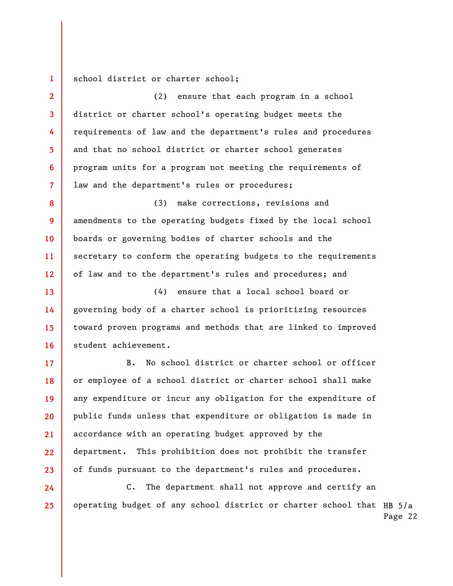**1**  school district or charter school;

**2** 

**3** 

**4** 

**5** 

**6** 

**7** 

**17** 

**18** 

**19** 

**20** 

**21** 

**22** 

**23** 

**24** 

**25** 

(2) ensure that each program in a school district or charter school's operating budget meets the requirements of law and the department's rules and procedures and that no school district or charter school generates program units for a program not meeting the requirements of law and the department's rules or procedures;

**8 9 10 11 12**  (3) make corrections, revisions and amendments to the operating budgets fixed by the local school boards or governing bodies of charter schools and the secretary to conform the operating budgets to the requirements of law and to the department's rules and procedures; and

**13 14 15 16**  (4) ensure that a local school board or governing body of a charter school is prioritizing resources toward proven programs and methods that are linked to improved student achievement.

B. No school district or charter school or officer or employee of a school district or charter school shall make any expenditure or incur any obligation for the expenditure of public funds unless that expenditure or obligation is made in accordance with an operating budget approved by the department. This prohibition does not prohibit the transfer of funds pursuant to the department's rules and procedures.

operating budget of any school district or charter school that <code>HB</code> 5/a Page 22 C. The department shall not approve and certify an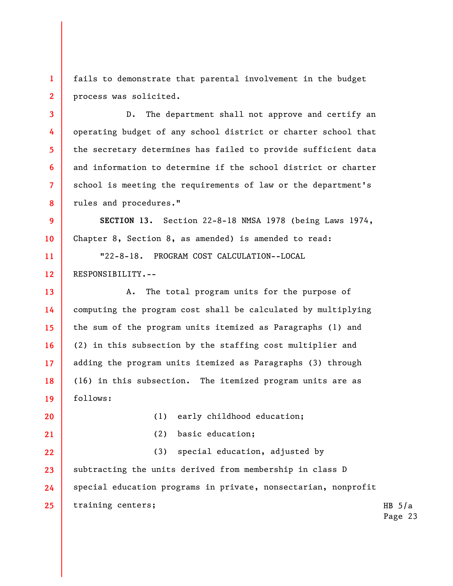**1 2**  fails to demonstrate that parental involvement in the budget process was solicited.

D. The department shall not approve and certify an operating budget of any school district or charter school that the secretary determines has failed to provide sufficient data and information to determine if the school district or charter school is meeting the requirements of law or the department's rules and procedures."

**9 10 SECTION 13.** Section 22-8-18 NMSA 1978 (being Laws 1974, Chapter 8, Section 8, as amended) is amended to read:

"22-8-18. PROGRAM COST CALCULATION--LOCAL RESPONSIBILITY.--

**13 14 15 16 17 18 19**  A. The total program units for the purpose of computing the program cost shall be calculated by multiplying the sum of the program units itemized as Paragraphs (1) and (2) in this subsection by the staffing cost multiplier and adding the program units itemized as Paragraphs (3) through (16) in this subsection. The itemized program units are as follows:

**20** 

**21** 

**3** 

**4** 

**5** 

**6** 

**7** 

**8** 

**11** 

**12** 

(1) early childhood education;

(2) basic education;

HB  $5/a$ **22 23 24 25**  (3) special education, adjusted by subtracting the units derived from membership in class D special education programs in private, nonsectarian, nonprofit training centers;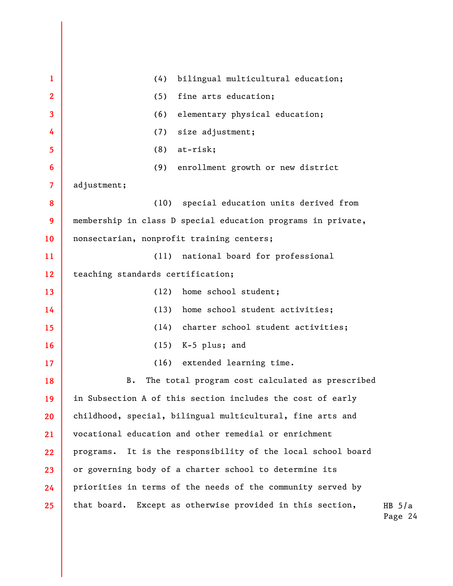HB  $5/a$ Page 24 **1 2 3 4 5 6 7 8 9 10 11 12 13 14 15 16 17 18 19 20 21 22 23 24 25**  (4) bilingual multicultural education; (5) fine arts education; (6) elementary physical education; (7) size adjustment; (8) at-risk; (9) enrollment growth or new district adjustment; (10) special education units derived from membership in class D special education programs in private, nonsectarian, nonprofit training centers; (11) national board for professional teaching standards certification; (12) home school student; (13) home school student activities; (14) charter school student activities; (15) K-5 plus; and (16) extended learning time. B. The total program cost calculated as prescribed in Subsection A of this section includes the cost of early childhood, special, bilingual multicultural, fine arts and vocational education and other remedial or enrichment programs. It is the responsibility of the local school board or governing body of a charter school to determine its priorities in terms of the needs of the community served by that board. Except as otherwise provided in this section,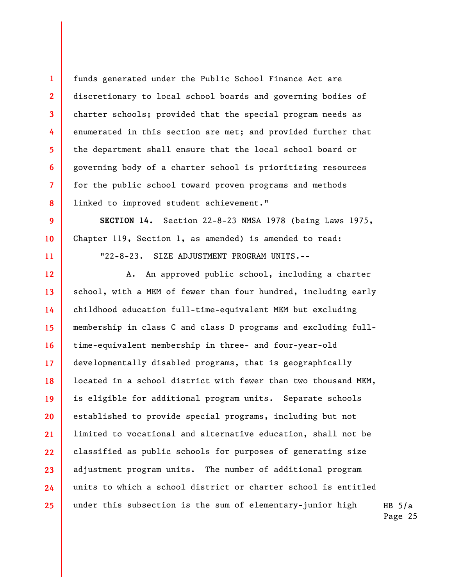funds generated under the Public School Finance Act are discretionary to local school boards and governing bodies of charter schools; provided that the special program needs as enumerated in this section are met; and provided further that the department shall ensure that the local school board or governing body of a charter school is prioritizing resources for the public school toward proven programs and methods linked to improved student achievement."

**1** 

**2** 

**3** 

**4** 

**5** 

**6** 

**7** 

**8** 

**9** 

**10** 

**11** 

**SECTION 14.** Section 22-8-23 NMSA 1978 (being Laws 1975, Chapter 119, Section 1, as amended) is amended to read:

"22-8-23. SIZE ADJUSTMENT PROGRAM UNITS.--

**12 13 14 15 16 17 18 19 20 21 22 23 24 25**  A. An approved public school, including a charter school, with a MEM of fewer than four hundred, including early childhood education full-time-equivalent MEM but excluding membership in class C and class D programs and excluding fulltime-equivalent membership in three- and four-year-old developmentally disabled programs, that is geographically located in a school district with fewer than two thousand MEM, is eligible for additional program units. Separate schools established to provide special programs, including but not limited to vocational and alternative education, shall not be classified as public schools for purposes of generating size adjustment program units. The number of additional program units to which a school district or charter school is entitled under this subsection is the sum of elementary-junior high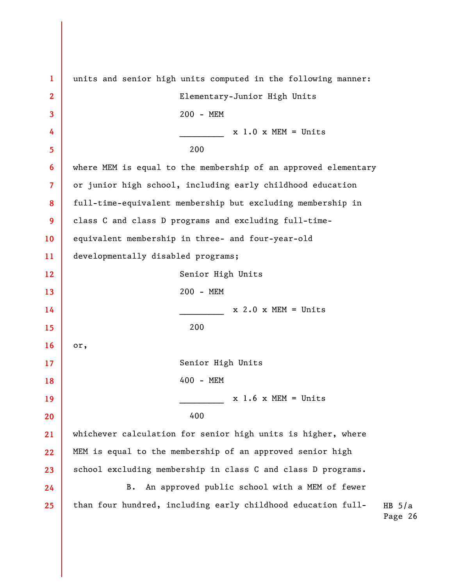HB  $5/a$ Page 26 **1 2 3 4 5 6 7 8 9 10 11 12 13 14 15 16 17 18 19 20 21 22 23 24 25**  units and senior high units computed in the following manner: Elementary-Junior High Units 200 - MEM  $x \sim 1.0 \times \text{MEM} = \text{Units}$  200 where MEM is equal to the membership of an approved elementary or junior high school, including early childhood education full-time-equivalent membership but excluding membership in class C and class D programs and excluding full-timeequivalent membership in three- and four-year-old developmentally disabled programs; Senior High Units 200 - MEM  $x \t2.0 x MEM = Units$  200 or, Senior High Units 400 - MEM  $x \cdot 1.6 \times \text{MEM} = \text{Units}$  400 whichever calculation for senior high units is higher, where MEM is equal to the membership of an approved senior high school excluding membership in class C and class D programs. B. An approved public school with a MEM of fewer than four hundred, including early childhood education full-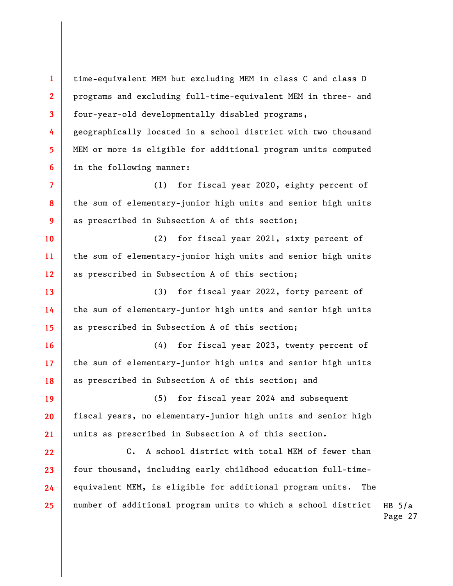**1 2 3 4 5 6 7 8 9 10 11 12 13 14 15 16 17 18 19 20 21 22 23 24 25**  time-equivalent MEM but excluding MEM in class C and class D programs and excluding full-time-equivalent MEM in three- and four-year-old developmentally disabled programs, geographically located in a school district with two thousand MEM or more is eligible for additional program units computed in the following manner: (1) for fiscal year 2020, eighty percent of the sum of elementary-junior high units and senior high units as prescribed in Subsection A of this section; (2) for fiscal year 2021, sixty percent of the sum of elementary-junior high units and senior high units as prescribed in Subsection A of this section; (3) for fiscal year 2022, forty percent of the sum of elementary-junior high units and senior high units as prescribed in Subsection A of this section; (4) for fiscal year 2023, twenty percent of the sum of elementary-junior high units and senior high units as prescribed in Subsection A of this section; and (5) for fiscal year 2024 and subsequent fiscal years, no elementary-junior high units and senior high units as prescribed in Subsection A of this section. C. A school district with total MEM of fewer than four thousand, including early childhood education full-timeequivalent MEM, is eligible for additional program units. The number of additional program units to which a school district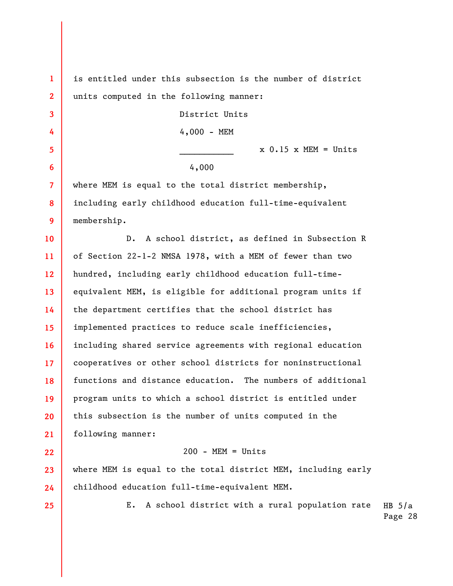**1 2**  is entitled under this subsection is the number of district units computed in the following manner:

District Units

4,000 - MEM

 $x \ 0.15 \ x \ MEM = Units$ 

4,000

where MEM is equal to the total district membership, including early childhood education full-time-equivalent membership.

**10 11 12 13 14 15 16 17 18 19 20 21**  D. A school district, as defined in Subsection R of Section 22-1-2 NMSA 1978, with a MEM of fewer than two hundred, including early childhood education full-timeequivalent MEM, is eligible for additional program units if the department certifies that the school district has implemented practices to reduce scale inefficiencies, including shared service agreements with regional education cooperatives or other school districts for noninstructional functions and distance education. The numbers of additional program units to which a school district is entitled under this subsection is the number of units computed in the following manner:

## $200 - MEM = Units$

**23 24**  where MEM is equal to the total district MEM, including early childhood education full-time-equivalent MEM.

**25** 

**22** 

**3** 

**4** 

**5** 

**6** 

**7** 

**8** 

**9** 

HB  $5/a$ Page 28 E. A school district with a rural population rate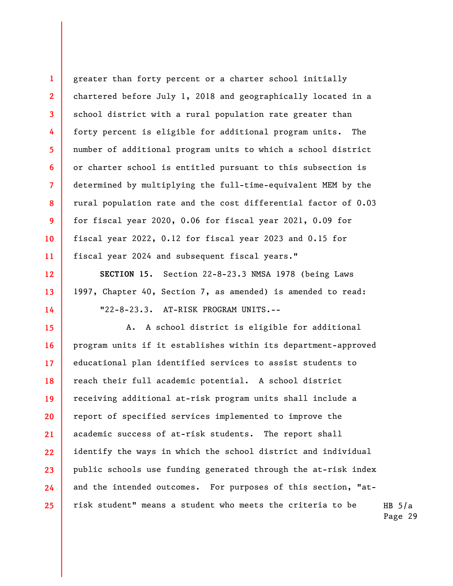greater than forty percent or a charter school initially chartered before July 1, 2018 and geographically located in a school district with a rural population rate greater than forty percent is eligible for additional program units. The number of additional program units to which a school district or charter school is entitled pursuant to this subsection is determined by multiplying the full-time-equivalent MEM by the rural population rate and the cost differential factor of 0.03 for fiscal year 2020, 0.06 for fiscal year 2021, 0.09 for fiscal year 2022, 0.12 for fiscal year 2023 and 0.15 for fiscal year 2024 and subsequent fiscal years."

**1** 

**2** 

**3** 

**4** 

**5** 

**6** 

**7** 

**8** 

**9** 

**10** 

**11** 

**12** 

**13** 

**14** 

**SECTION 15.** Section 22-8-23.3 NMSA 1978 (being Laws 1997, Chapter 40, Section 7, as amended) is amended to read: "22-8-23.3. AT-RISK PROGRAM UNITS.--

**15 16 17 18 19 20 21 22 23 24 25**  A. A school district is eligible for additional program units if it establishes within its department-approved educational plan identified services to assist students to reach their full academic potential. A school district receiving additional at-risk program units shall include a report of specified services implemented to improve the academic success of at-risk students. The report shall identify the ways in which the school district and individual public schools use funding generated through the at-risk index and the intended outcomes. For purposes of this section, "atrisk student" means a student who meets the criteria to be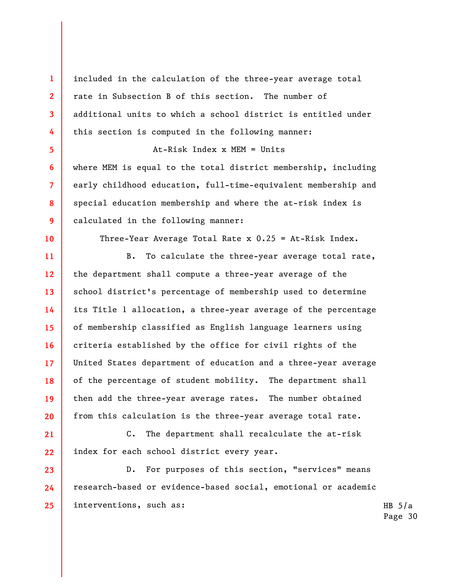included in the calculation of the three-year average total rate in Subsection B of this section. The number of additional units to which a school district is entitled under this section is computed in the following manner:

At-Risk Index x MEM = Units

where MEM is equal to the total district membership, including early childhood education, full-time-equivalent membership and special education membership and where the at-risk index is calculated in the following manner:

Three-Year Average Total Rate x 0.25 = At-Risk Index.

B. To calculate the three-year average total rate, the department shall compute a three-year average of the school district's percentage of membership used to determine its Title 1 allocation, a three-year average of the percentage of membership classified as English language learners using criteria established by the office for civil rights of the United States department of education and a three-year average of the percentage of student mobility. The department shall then add the three-year average rates. The number obtained from this calculation is the three-year average total rate.

C. The department shall recalculate the at-risk index for each school district every year.

D. For purposes of this section, "services" means research-based or evidence-based social, emotional or academic interventions, such as: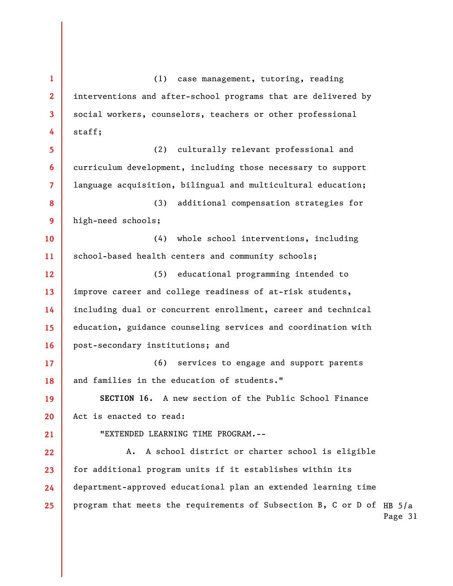program that meets the requirements of Subsection B, C or D of  $_{\rm HB}$  5/a Page 31 **1 2 3 4 5 6 7 8 9 10 11 12 13 14 15 16 17 18 19 20 21 22 23 24 25**  (1) case management, tutoring, reading interventions and after-school programs that are delivered by social workers, counselors, teachers or other professional staff; (2) culturally relevant professional and curriculum development, including those necessary to support language acquisition, bilingual and multicultural education; (3) additional compensation strategies for high-need schools; (4) whole school interventions, including school-based health centers and community schools; (5) educational programming intended to improve career and college readiness of at-risk students, including dual or concurrent enrollment, career and technical education, guidance counseling services and coordination with post-secondary institutions; and (6) services to engage and support parents and families in the education of students." **SECTION 16.** A new section of the Public School Finance Act is enacted to read: "EXTENDED LEARNING TIME PROGRAM.-- A. A school district or charter school is eligible for additional program units if it establishes within its department-approved educational plan an extended learning time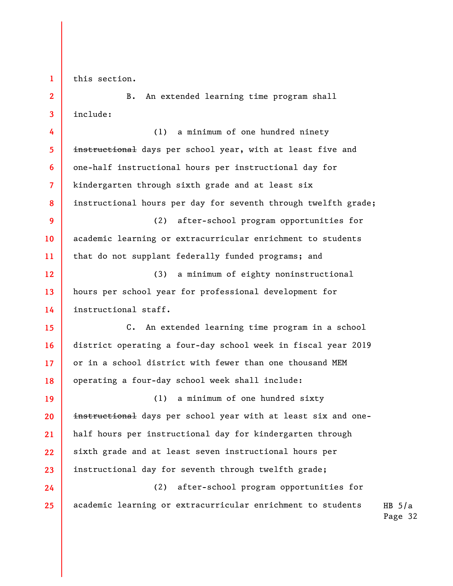**1 2** 

**3** 

**24** 

**25** 

this section.

B. An extended learning time program shall include:

**4 5 6 7 8 9 10 11 12 13 14 15 16 17 18 19 20**  (1) a minimum of one hundred ninety instructional days per school year, with at least five and one-half instructional hours per instructional day for kindergarten through sixth grade and at least six instructional hours per day for seventh through twelfth grade; (2) after-school program opportunities for academic learning or extracurricular enrichment to students that do not supplant federally funded programs; and (3) a minimum of eighty noninstructional hours per school year for professional development for instructional staff. C. An extended learning time program in a school district operating a four-day school week in fiscal year 2019 or in a school district with fewer than one thousand MEM operating a four-day school week shall include: (1) a minimum of one hundred sixty instructional days per school year with at least six and one-

**21 22 23**  half hours per instructional day for kindergarten through sixth grade and at least seven instructional hours per instructional day for seventh through twelfth grade;

(2) after-school program opportunities for academic learning or extracurricular enrichment to students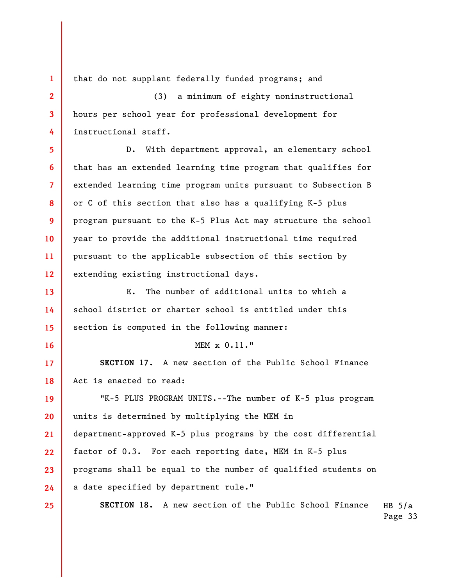**1 2 3 4 5 6 7 8 9 10 11 12 13 14 15 16 17 18 19 20 21 22 23 24 25**  that do not supplant federally funded programs; and (3) a minimum of eighty noninstructional hours per school year for professional development for instructional staff. D. With department approval, an elementary school that has an extended learning time program that qualifies for extended learning time program units pursuant to Subsection B or C of this section that also has a qualifying K-5 plus program pursuant to the K-5 Plus Act may structure the school year to provide the additional instructional time required pursuant to the applicable subsection of this section by extending existing instructional days. E. The number of additional units to which a school district or charter school is entitled under this section is computed in the following manner: MEM x 0.11." **SECTION 17.** A new section of the Public School Finance Act is enacted to read: "K-5 PLUS PROGRAM UNITS.--The number of K-5 plus program units is determined by multiplying the MEM in department-approved K-5 plus programs by the cost differential factor of 0.3. For each reporting date, MEM in K-5 plus programs shall be equal to the number of qualified students on a date specified by department rule." **SECTION 18.** A new section of the Public School Finance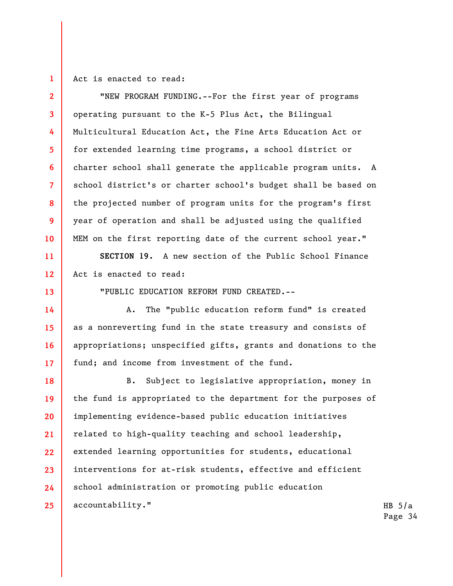**1 2** 

**3** 

**4** 

**5** 

**6** 

**7** 

**8** 

**9** 

**10** 

**11** 

**12** 

**13** 

**14** 

**15** 

**16** 

**17** 

Act is enacted to read:

"NEW PROGRAM FUNDING.--For the first year of programs operating pursuant to the K-5 Plus Act, the Bilingual Multicultural Education Act, the Fine Arts Education Act or for extended learning time programs, a school district or charter school shall generate the applicable program units. A school district's or charter school's budget shall be based on the projected number of program units for the program's first year of operation and shall be adjusted using the qualified MEM on the first reporting date of the current school year."

**SECTION 19.** A new section of the Public School Finance Act is enacted to read:

"PUBLIC EDUCATION REFORM FUND CREATED.--

A. The "public education reform fund" is created as a nonreverting fund in the state treasury and consists of appropriations; unspecified gifts, grants and donations to the fund; and income from investment of the fund.

**18 19 20 21 22 23 24 25**  B. Subject to legislative appropriation, money in the fund is appropriated to the department for the purposes of implementing evidence-based public education initiatives related to high-quality teaching and school leadership, extended learning opportunities for students, educational interventions for at-risk students, effective and efficient school administration or promoting public education accountability."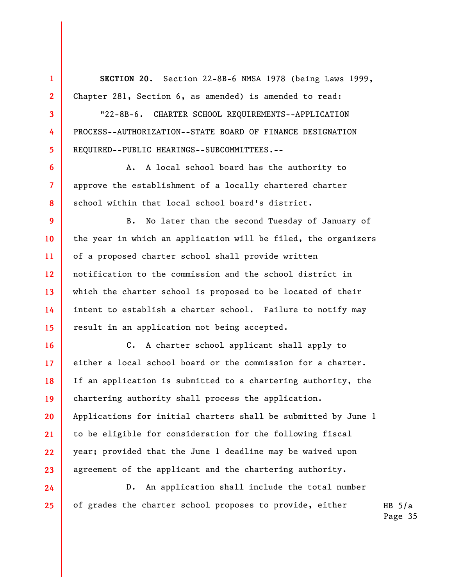**1 2 3 4 5 6 7 8 9 10 11 12 13 14 15 16 17 18 19 20 21 22 23 24 SECTION 20.** Section 22-8B-6 NMSA 1978 (being Laws 1999, Chapter 281, Section 6, as amended) is amended to read: "22-8B-6. CHARTER SCHOOL REQUIREMENTS--APPLICATION PROCESS--AUTHORIZATION--STATE BOARD OF FINANCE DESIGNATION REQUIRED--PUBLIC HEARINGS--SUBCOMMITTEES.-- A. A local school board has the authority to approve the establishment of a locally chartered charter school within that local school board's district. B. No later than the second Tuesday of January of the year in which an application will be filed, the organizers of a proposed charter school shall provide written notification to the commission and the school district in which the charter school is proposed to be located of their intent to establish a charter school. Failure to notify may result in an application not being accepted. C. A charter school applicant shall apply to either a local school board or the commission for a charter. If an application is submitted to a chartering authority, the chartering authority shall process the application. Applications for initial charters shall be submitted by June 1 to be eligible for consideration for the following fiscal year; provided that the June 1 deadline may be waived upon agreement of the applicant and the chartering authority. D. An application shall include the total number

of grades the charter school proposes to provide, either

**25**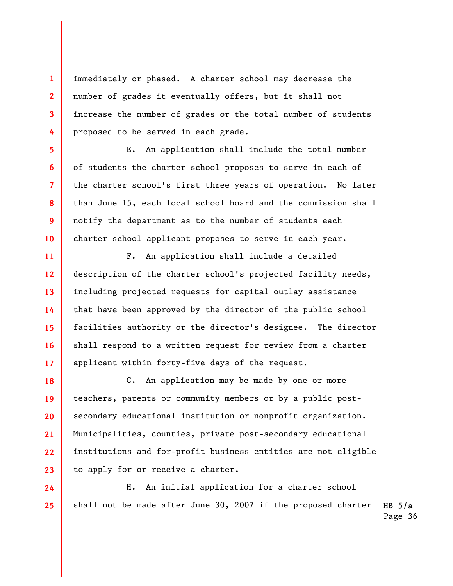immediately or phased. A charter school may decrease the number of grades it eventually offers, but it shall not increase the number of grades or the total number of students proposed to be served in each grade.

**1** 

**2** 

**3** 

**4** 

**5** 

**6** 

**7** 

**8** 

**9** 

**10** 

**11** 

**12** 

**13** 

**14** 

**15** 

**16** 

**17** 

**24** 

**25** 

E. An application shall include the total number of students the charter school proposes to serve in each of the charter school's first three years of operation. No later than June 15, each local school board and the commission shall notify the department as to the number of students each charter school applicant proposes to serve in each year.

F. An application shall include a detailed description of the charter school's projected facility needs, including projected requests for capital outlay assistance that have been approved by the director of the public school facilities authority or the director's designee. The director shall respond to a written request for review from a charter applicant within forty-five days of the request.

**18 19 20 21 22 23**  G. An application may be made by one or more teachers, parents or community members or by a public postsecondary educational institution or nonprofit organization. Municipalities, counties, private post-secondary educational institutions and for-profit business entities are not eligible to apply for or receive a charter.

HB  $5/a$ H. An initial application for a charter school shall not be made after June 30, 2007 if the proposed charter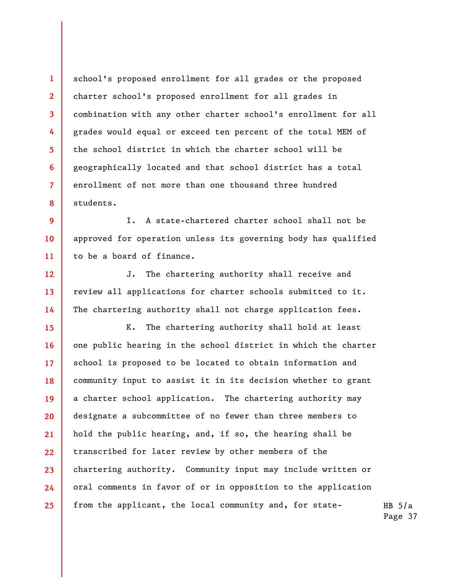school's proposed enrollment for all grades or the proposed charter school's proposed enrollment for all grades in combination with any other charter school's enrollment for all grades would equal or exceed ten percent of the total MEM of the school district in which the charter school will be geographically located and that school district has a total enrollment of not more than one thousand three hundred students.

**1** 

**2** 

**3** 

**4** 

**5** 

**6** 

**7** 

**8** 

**9 10 11**  I. A state-chartered charter school shall not be approved for operation unless its governing body has qualified to be a board of finance.

**12 13 14**  J. The chartering authority shall receive and review all applications for charter schools submitted to it. The chartering authority shall not charge application fees.

**15 16 17 18 19 20 21 22 23 24 25**  K. The chartering authority shall hold at least one public hearing in the school district in which the charter school is proposed to be located to obtain information and community input to assist it in its decision whether to grant a charter school application. The chartering authority may designate a subcommittee of no fewer than three members to hold the public hearing, and, if so, the hearing shall be transcribed for later review by other members of the chartering authority. Community input may include written or oral comments in favor of or in opposition to the application from the applicant, the local community and, for state-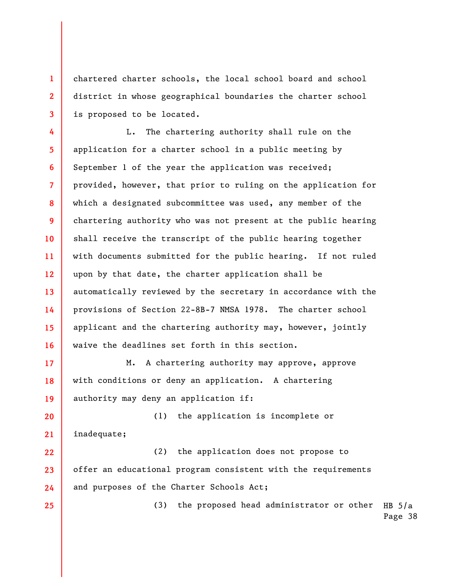chartered charter schools, the local school board and school district in whose geographical boundaries the charter school is proposed to be located.

**1** 

**2** 

**3** 

**25** 

**4 5 6 7 8 9 10 11 12 13 14 15 16**  L. The chartering authority shall rule on the application for a charter school in a public meeting by September 1 of the year the application was received; provided, however, that prior to ruling on the application for which a designated subcommittee was used, any member of the chartering authority who was not present at the public hearing shall receive the transcript of the public hearing together with documents submitted for the public hearing. If not ruled upon by that date, the charter application shall be automatically reviewed by the secretary in accordance with the provisions of Section 22-8B-7 NMSA 1978. The charter school applicant and the chartering authority may, however, jointly waive the deadlines set forth in this section.

**17 18 19**  M. A chartering authority may approve, approve with conditions or deny an application. A chartering authority may deny an application if:

**20 21 22**  (1) the application is incomplete or inadequate; (2) the application does not propose to

**23 24**  offer an educational program consistent with the requirements and purposes of the Charter Schools Act;

> HB  $5/a$ Page 38 (3) the proposed head administrator or other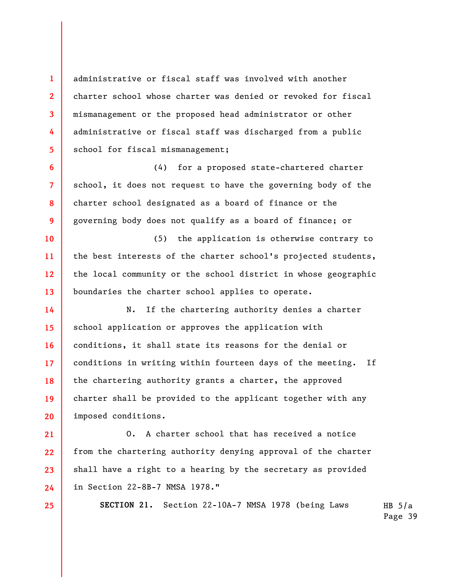administrative or fiscal staff was involved with another charter school whose charter was denied or revoked for fiscal mismanagement or the proposed head administrator or other administrative or fiscal staff was discharged from a public school for fiscal mismanagement;

**1** 

**2** 

**3** 

**4** 

**5** 

**6** 

**7** 

**8** 

**9** 

**10** 

**11** 

**12** 

**13** 

**25** 

(4) for a proposed state-chartered charter school, it does not request to have the governing body of the charter school designated as a board of finance or the governing body does not qualify as a board of finance; or

(5) the application is otherwise contrary to the best interests of the charter school's projected students, the local community or the school district in whose geographic boundaries the charter school applies to operate.

**14 15 16 17 18 19 20**  N. If the chartering authority denies a charter school application or approves the application with conditions, it shall state its reasons for the denial or conditions in writing within fourteen days of the meeting. If the chartering authority grants a charter, the approved charter shall be provided to the applicant together with any imposed conditions.

**21 22 23 24**  O. A charter school that has received a notice from the chartering authority denying approval of the charter shall have a right to a hearing by the secretary as provided in Section 22-8B-7 NMSA 1978."

**SECTION 21.** Section 22-10A-7 NMSA 1978 (being Laws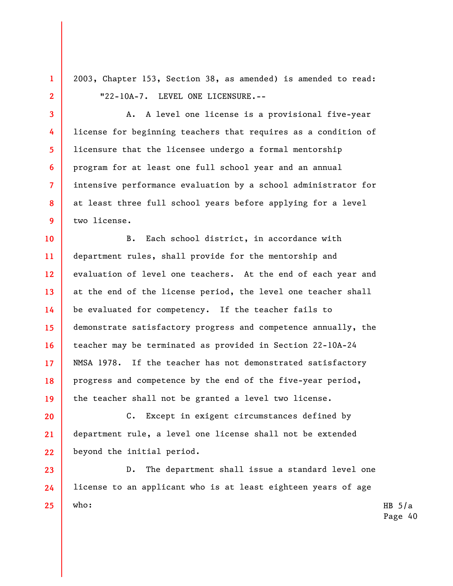2003, Chapter 153, Section 38, as amended) is amended to read: "22-10A-7. LEVEL ONE LICENSURE.--

**1** 

**2** 

**3** 

**4** 

**5** 

**6** 

**7** 

**8** 

**9** 

A. A level one license is a provisional five-year license for beginning teachers that requires as a condition of licensure that the licensee undergo a formal mentorship program for at least one full school year and an annual intensive performance evaluation by a school administrator for at least three full school years before applying for a level two license.

**10 11 12 13 14 15 16 17 18 19**  B. Each school district, in accordance with department rules, shall provide for the mentorship and evaluation of level one teachers. At the end of each year and at the end of the license period, the level one teacher shall be evaluated for competency. If the teacher fails to demonstrate satisfactory progress and competence annually, the teacher may be terminated as provided in Section 22-10A-24 NMSA 1978. If the teacher has not demonstrated satisfactory progress and competence by the end of the five-year period, the teacher shall not be granted a level two license.

**20 21 22**  C. Except in exigent circumstances defined by department rule, a level one license shall not be extended beyond the initial period.

**23 24 25**  D. The department shall issue a standard level one license to an applicant who is at least eighteen years of age who: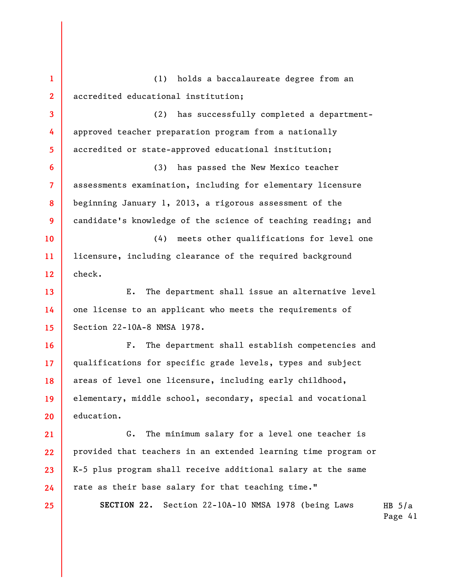HB  $5/a$ Page 41 **1 2 3 4 5 6 7 8 9 10 11 12 13 14 15 16 17 18 19 20 21 22 23 24 25**  (1) holds a baccalaureate degree from an accredited educational institution; (2) has successfully completed a departmentapproved teacher preparation program from a nationally accredited or state-approved educational institution; (3) has passed the New Mexico teacher assessments examination, including for elementary licensure beginning January 1, 2013, a rigorous assessment of the candidate's knowledge of the science of teaching reading; and (4) meets other qualifications for level one licensure, including clearance of the required background check. E. The department shall issue an alternative level one license to an applicant who meets the requirements of Section 22-10A-8 NMSA 1978. F. The department shall establish competencies and qualifications for specific grade levels, types and subject areas of level one licensure, including early childhood, elementary, middle school, secondary, special and vocational education. G. The minimum salary for a level one teacher is provided that teachers in an extended learning time program or K-5 plus program shall receive additional salary at the same rate as their base salary for that teaching time." **SECTION 22.** Section 22-10A-10 NMSA 1978 (being Laws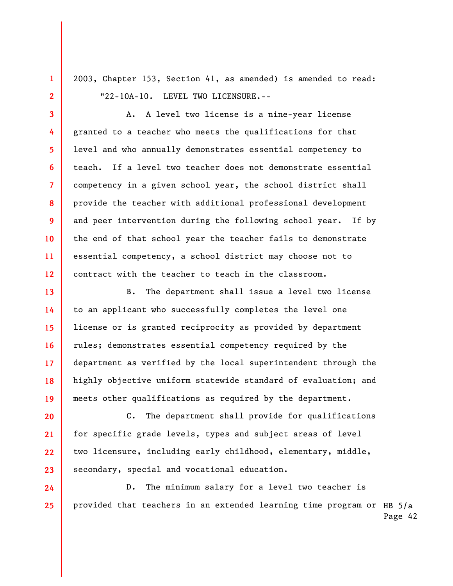2003, Chapter 153, Section 41, as amended) is amended to read: "22-10A-10. LEVEL TWO LICENSURE.--

**1** 

**2** 

**3** 

**4** 

**5** 

**6** 

**7** 

**8** 

**9** 

**10** 

**11** 

**12** 

**24** 

**25** 

A. A level two license is a nine-year license granted to a teacher who meets the qualifications for that level and who annually demonstrates essential competency to teach. If a level two teacher does not demonstrate essential competency in a given school year, the school district shall provide the teacher with additional professional development and peer intervention during the following school year. If by the end of that school year the teacher fails to demonstrate essential competency, a school district may choose not to contract with the teacher to teach in the classroom.

**13 14 15 16 17 18 19**  B. The department shall issue a level two license to an applicant who successfully completes the level one license or is granted reciprocity as provided by department rules; demonstrates essential competency required by the department as verified by the local superintendent through the highly objective uniform statewide standard of evaluation; and meets other qualifications as required by the department.

**20 21 22 23**  C. The department shall provide for qualifications for specific grade levels, types and subject areas of level two licensure, including early childhood, elementary, middle, secondary, special and vocational education.

provided that teachers in an extended learning time program or <code>HB</code> 5/a Page 42 D. The minimum salary for a level two teacher is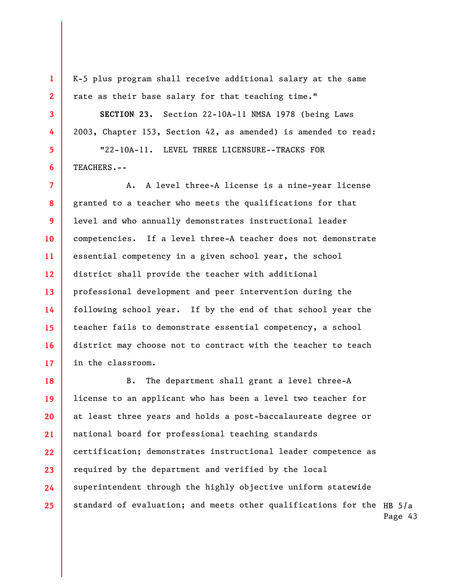K-5 plus program shall receive additional salary at the same rate as their base salary for that teaching time."

**SECTION 23.** Section 22-10A-11 NMSA 1978 (being Laws 2003, Chapter 153, Section 42, as amended) is amended to read:

"22-10A-11. LEVEL THREE LICENSURE--TRACKS FOR TEACHERS.--

A. A level three-A license is a nine-year license granted to a teacher who meets the qualifications for that level and who annually demonstrates instructional leader competencies. If a level three-A teacher does not demonstrate essential competency in a given school year, the school district shall provide the teacher with additional professional development and peer intervention during the following school year. If by the end of that school year the teacher fails to demonstrate essential competency, a school district may choose not to contract with the teacher to teach in the classroom.

standard of evaluation; and meets other qualifications for the  $_{\rm HB}$  5/a Page 43 **19 20 21 22 23 24 25**  B. The department shall grant a level three-A license to an applicant who has been a level two teacher for at least three years and holds a post-baccalaureate degree or national board for professional teaching standards certification; demonstrates instructional leader competence as required by the department and verified by the local superintendent through the highly objective uniform statewide

**1**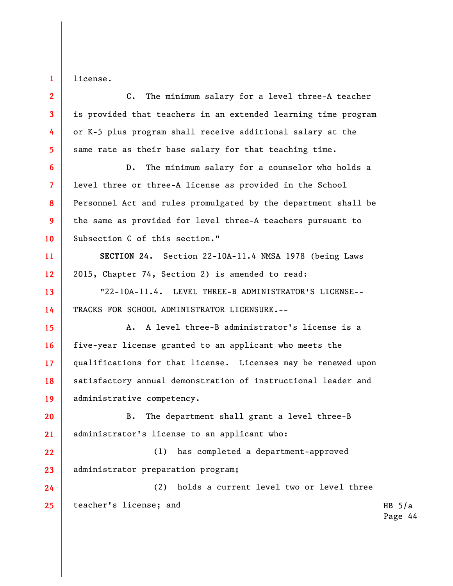license.

**1** 

HB  $5/a$ Page 44 **2 3 4 5 6 7 8 9 10 11 12 13 14 15 16 17 18 19 20 21 22 23 24 25**  C. The minimum salary for a level three-A teacher is provided that teachers in an extended learning time program or K-5 plus program shall receive additional salary at the same rate as their base salary for that teaching time. D. The minimum salary for a counselor who holds a level three or three-A license as provided in the School Personnel Act and rules promulgated by the department shall be the same as provided for level three-A teachers pursuant to Subsection C of this section." **SECTION 24.** Section 22-10A-11.4 NMSA 1978 (being Laws 2015, Chapter 74, Section 2) is amended to read: "22-10A-11.4. LEVEL THREE-B ADMINISTRATOR'S LICENSE-- TRACKS FOR SCHOOL ADMINISTRATOR LICENSURE.-- A. A level three-B administrator's license is a five-year license granted to an applicant who meets the qualifications for that license. Licenses may be renewed upon satisfactory annual demonstration of instructional leader and administrative competency. B. The department shall grant a level three-B administrator's license to an applicant who: (1) has completed a department-approved administrator preparation program; (2) holds a current level two or level three teacher's license; and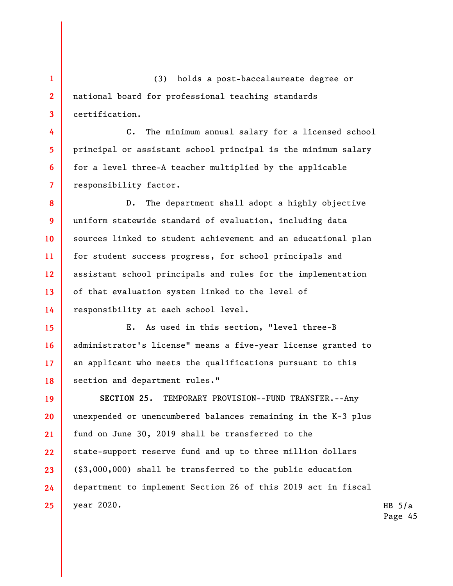**1 2 3**  (3) holds a post-baccalaureate degree or national board for professional teaching standards certification.

**4** 

**5** 

**6** 

**7** 

C. The minimum annual salary for a licensed school principal or assistant school principal is the minimum salary for a level three-A teacher multiplied by the applicable responsibility factor.

**8 9 10 11 12 13 14**  D. The department shall adopt a highly objective uniform statewide standard of evaluation, including data sources linked to student achievement and an educational plan for student success progress, for school principals and assistant school principals and rules for the implementation of that evaluation system linked to the level of responsibility at each school level.

**15 16 17 18**  E. As used in this section, "level three-B administrator's license" means a five-year license granted to an applicant who meets the qualifications pursuant to this section and department rules."

**19 20 21 22 23 24 25 SECTION 25.** TEMPORARY PROVISION--FUND TRANSFER.--Any unexpended or unencumbered balances remaining in the K-3 plus fund on June 30, 2019 shall be transferred to the state-support reserve fund and up to three million dollars (\$3,000,000) shall be transferred to the public education department to implement Section 26 of this 2019 act in fiscal year 2020.